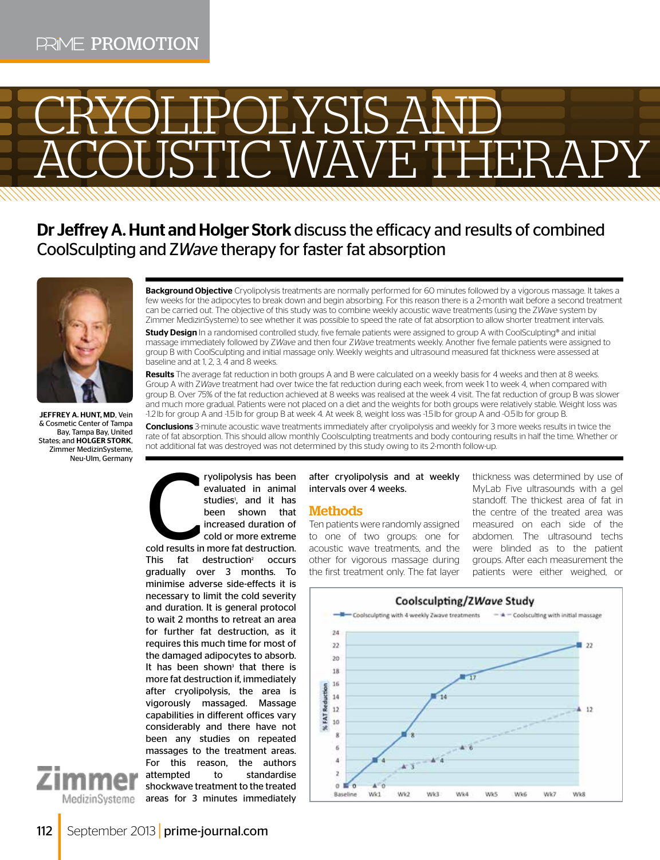# RYOLIPOLYSIS AND **COUSTIC WAVE THERAPY**

# Dr Jeffrey A. Hunt and Holger Stork discuss the efficacy and results of combined CoolSculpting and Z*Wave* therapy for faster fat absorption



**IFFFREY A. HUNT MD, Vein** & Cosmetic Center of Tampa Bay, Tampa Bay, United States; and HOLGER STORK, Zimmer MedizinSysteme, Neu-Ulm, Germany

Background Objective Cryolipolysis treatments are normally performed for 60 minutes followed by a vigorous massage. It takes a few weeks for the adipocytes to break down and begin absorbing. For this reason there is a 2-month wait before a second treatment can be carried out. The objective of this study was to combine weekly acoustic wave treatments (using the Z*Wave* system by Zimmer MedizinSysteme) to see whether it was possible to speed the rate of fat absorption to allow shorter treatment intervals.

Study Design In a randomised controlled study, five female patients were assigned to group A with CoolSculpting® and initial massage immediately followed by Z*Wave* and then four Z*Wave* treatments weekly. Another five female patients were assigned to group B with CoolSculpting and initial massage only. Weekly weights and ultrasound measured fat thickness were assessed at baseline and at 1, 2, 3, 4 and 8 weeks.

Results The average fat reduction in both groups A and B were calculated on a weekly basis for 4 weeks and then at 8 weeks. Group A with Z*Wave* treatment had over twice the fat reduction during each week, from week 1 to week 4, when compared with group B. Over 75% of the fat reduction achieved at 8 weeks was realised at the week 4 visit. The fat reduction of group B was slower and much more gradual. Patients were not placed on a diet and the weights for both groups were relatively stable. Weight loss was -1.2lb for group A and -1.5lb for group B at week 4. At week 8, weight loss was -1.5lb for group A and -0.5lb for group B.

Conclusions 3-minute acoustic wave treatments immediately after cryolipolysis and weekly for 3 more weeks results in twice the rate of fat absorption. This should allow monthly Coolsculpting treatments and body contouring results in half the time. Whether or not additional fat was destroyed was not determined by this study owing to its 2-month follow-up.

cold results in ryolipolysis has been evaluated in animal studies<sup>1</sup>, and it has been shown that increased duration of cold or more extreme

cold results in more fat destruction. This fat destruction<sup>2</sup> occurs gradually over 3 months. To minimise adverse side-effects it is necessary to limit the cold severity and duration. It is general protocol to wait 2 months to retreat an area for further fat destruction, as it requires this much time for most of the damaged adipocytes to absorb. It has been shown<sup>3</sup> that there is more fat destruction if, immediately after cryolipolysis, the area is vigorously massaged. Massage capabilities in different offices vary considerably and there have not been any studies on repeated massages to the treatment areas. For this reason, the authors attempted to standardise shockwave treatment to the treated areas for 3 minutes immediately

#### after cryolipolysis and at weekly intervals over 4 weeks.

# **Methods**

Ten patients were randomly assigned to one of two groups: one for acoustic wave treatments, and the other for vigorous massage during the first treatment only. The fat layer thickness was determined by use of MyLab Five ultrasounds with a gel standoff. The thickest area of fat in the centre of the treated area was measured on each side of the abdomen. The ultrasound techs were blinded as to the patient groups. After each measurement the patients were either weighed, or